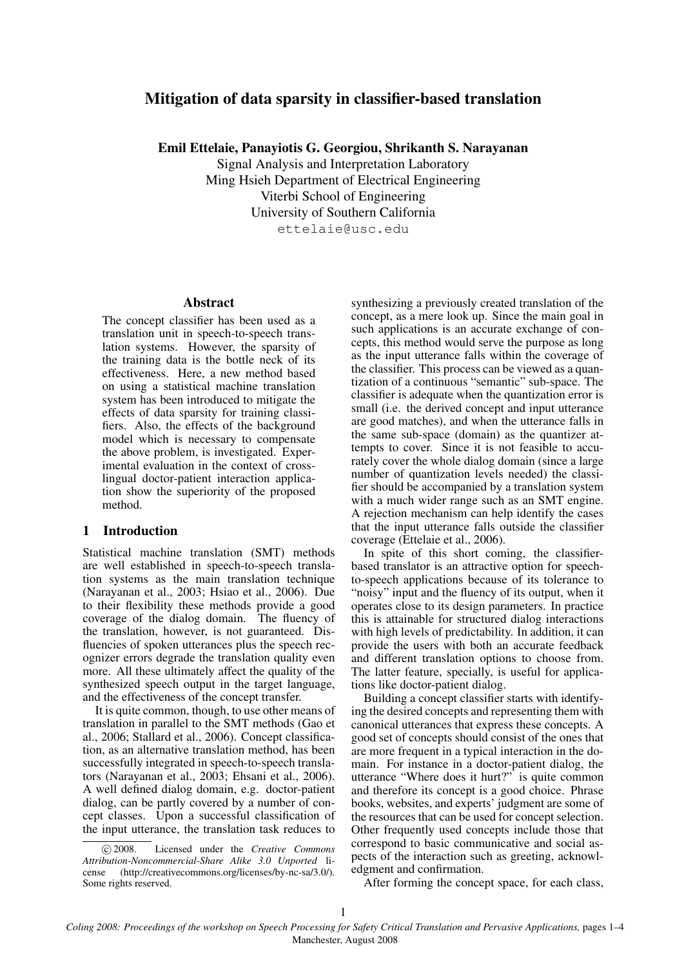# Mitigation of data sparsity in classifier-based translation

Emil Ettelaie, Panayiotis G. Georgiou, Shrikanth S. Narayanan

Signal Analysis and Interpretation Laboratory Ming Hsieh Department of Electrical Engineering Viterbi School of Engineering University of Southern California ettelaie@usc.edu

#### Abstract

The concept classifier has been used as a translation unit in speech-to-speech translation systems. However, the sparsity of the training data is the bottle neck of its effectiveness. Here, a new method based on using a statistical machine translation system has been introduced to mitigate the effects of data sparsity for training classifiers. Also, the effects of the background model which is necessary to compensate the above problem, is investigated. Experimental evaluation in the context of crosslingual doctor-patient interaction application show the superiority of the proposed method.

## 1 Introduction

Statistical machine translation (SMT) methods are well established in speech-to-speech translation systems as the main translation technique (Narayanan et al., 2003; Hsiao et al., 2006). Due to their flexibility these methods provide a good coverage of the dialog domain. The fluency of the translation, however, is not guaranteed. Disfluencies of spoken utterances plus the speech recognizer errors degrade the translation quality even more. All these ultimately affect the quality of the synthesized speech output in the target language, and the effectiveness of the concept transfer.

It is quite common, though, to use other means of translation in parallel to the SMT methods (Gao et al., 2006; Stallard et al., 2006). Concept classification, as an alternative translation method, has been successfully integrated in speech-to-speech translators (Narayanan et al., 2003; Ehsani et al., 2006). A well defined dialog domain, e.g. doctor-patient dialog, can be partly covered by a number of concept classes. Upon a successful classification of the input utterance, the translation task reduces to

synthesizing a previously created translation of the concept, as a mere look up. Since the main goal in such applications is an accurate exchange of concepts, this method would serve the purpose as long as the input utterance falls within the coverage of the classifier. This process can be viewed as a quantization of a continuous "semantic" sub-space. The classifier is adequate when the quantization error is small (i.e. the derived concept and input utterance are good matches), and when the utterance falls in the same sub-space (domain) as the quantizer attempts to cover. Since it is not feasible to accurately cover the whole dialog domain (since a large number of quantization levels needed) the classifier should be accompanied by a translation system with a much wider range such as an SMT engine. A rejection mechanism can help identify the cases that the input utterance falls outside the classifier coverage (Ettelaie et al., 2006).

In spite of this short coming, the classifierbased translator is an attractive option for speechto-speech applications because of its tolerance to "noisy" input and the fluency of its output, when it operates close to its design parameters. In practice this is attainable for structured dialog interactions with high levels of predictability. In addition, it can provide the users with both an accurate feedback and different translation options to choose from. The latter feature, specially, is useful for applications like doctor-patient dialog.

Building a concept classifier starts with identifying the desired concepts and representing them with canonical utterances that express these concepts. A good set of concepts should consist of the ones that are more frequent in a typical interaction in the domain. For instance in a doctor-patient dialog, the utterance "Where does it hurt?" is quite common and therefore its concept is a good choice. Phrase books, websites, and experts' judgment are some of the resources that can be used for concept selection. Other frequently used concepts include those that correspond to basic communicative and social aspects of the interaction such as greeting, acknowledgment and confirmation.

After forming the concept space, for each class,

c 2008. Licensed under the *Creative Commons Attribution-Noncommercial-Share Alike 3.0 Unported* license (http://creativecommons.org/licenses/by-nc-sa/3.0/). Some rights reserved.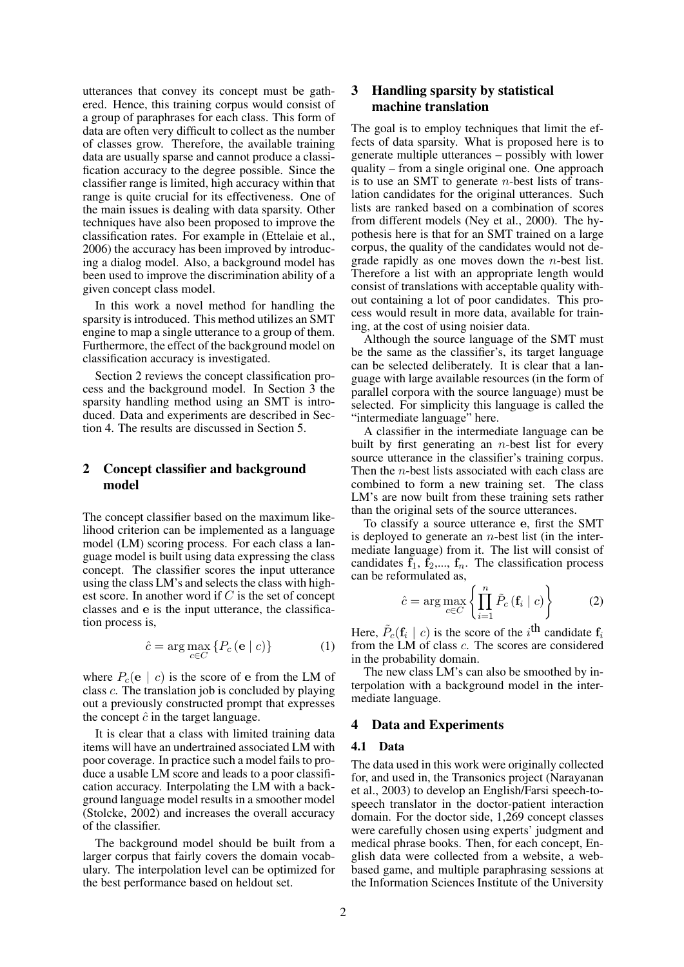utterances that convey its concept must be gathered. Hence, this training corpus would consist of a group of paraphrases for each class. This form of data are often very difficult to collect as the number of classes grow. Therefore, the available training data are usually sparse and cannot produce a classification accuracy to the degree possible. Since the classifier range is limited, high accuracy within that range is quite crucial for its effectiveness. One of the main issues is dealing with data sparsity. Other techniques have also been proposed to improve the classification rates. For example in (Ettelaie et al., 2006) the accuracy has been improved by introducing a dialog model. Also, a background model has been used to improve the discrimination ability of a given concept class model.

In this work a novel method for handling the sparsity is introduced. This method utilizes an SMT engine to map a single utterance to a group of them. Furthermore, the effect of the background model on classification accuracy is investigated.

Section 2 reviews the concept classification process and the background model. In Section 3 the sparsity handling method using an SMT is introduced. Data and experiments are described in Section 4. The results are discussed in Section 5.

## 2 Concept classifier and background model

The concept classifier based on the maximum likelihood criterion can be implemented as a language model (LM) scoring process. For each class a language model is built using data expressing the class concept. The classifier scores the input utterance using the class LM's and selects the class with highest score. In another word if C is the set of concept classes and e is the input utterance, the classification process is,

$$
\hat{c} = \arg \max_{c \in C} \left\{ P_c \left( \mathbf{e} \mid c \right) \right\} \tag{1}
$$

where  $P_c(e \mid c)$  is the score of e from the LM of class c. The translation job is concluded by playing out a previously constructed prompt that expresses the concept  $\hat{c}$  in the target language.

It is clear that a class with limited training data items will have an undertrained associated LM with poor coverage. In practice such a model fails to produce a usable LM score and leads to a poor classification accuracy. Interpolating the LM with a background language model results in a smoother model (Stolcke, 2002) and increases the overall accuracy of the classifier.

The background model should be built from a larger corpus that fairly covers the domain vocabulary. The interpolation level can be optimized for the best performance based on heldout set.

## 3 Handling sparsity by statistical machine translation

The goal is to employ techniques that limit the effects of data sparsity. What is proposed here is to generate multiple utterances – possibly with lower quality – from a single original one. One approach is to use an SMT to generate  $n$ -best lists of translation candidates for the original utterances. Such lists are ranked based on a combination of scores from different models (Ney et al., 2000). The hypothesis here is that for an SMT trained on a large corpus, the quality of the candidates would not degrade rapidly as one moves down the *n*-best list. Therefore a list with an appropriate length would consist of translations with acceptable quality without containing a lot of poor candidates. This process would result in more data, available for training, at the cost of using noisier data.

Although the source language of the SMT must be the same as the classifier's, its target language can be selected deliberately. It is clear that a language with large available resources (in the form of parallel corpora with the source language) must be selected. For simplicity this language is called the "intermediate language" here.

A classifier in the intermediate language can be built by first generating an  $n$ -best list for every source utterance in the classifier's training corpus. Then the *n*-best lists associated with each class are combined to form a new training set. The class LM's are now built from these training sets rather than the original sets of the source utterances.

To classify a source utterance e, first the SMT is deployed to generate an  $n$ -best list (in the intermediate language) from it. The list will consist of candidates  $\tilde{f}_1$ ,  $\tilde{f}_2$ ,...,  $f_n$ . The classification process can be reformulated as,

$$
\hat{c} = \arg \max_{c \in C} \left\{ \prod_{i=1}^{n} \tilde{P}_c \left( \mathbf{f}_i \mid c \right) \right\} \tag{2}
$$

Here,  $\tilde{P}_c(\mathbf{f}_i \mid c)$  is the score of the *i*<sup>th</sup> candidate  $\mathbf{f}_i$ from the LM of class c. The scores are considered in the probability domain.

The new class LM's can also be smoothed by interpolation with a background model in the intermediate language.

### Data and Experiments

#### 4.1 Data

The data used in this work were originally collected for, and used in, the Transonics project (Narayanan et al., 2003) to develop an English/Farsi speech-tospeech translator in the doctor-patient interaction domain. For the doctor side, 1,269 concept classes were carefully chosen using experts' judgment and medical phrase books. Then, for each concept, English data were collected from a website, a webbased game, and multiple paraphrasing sessions at the Information Sciences Institute of the University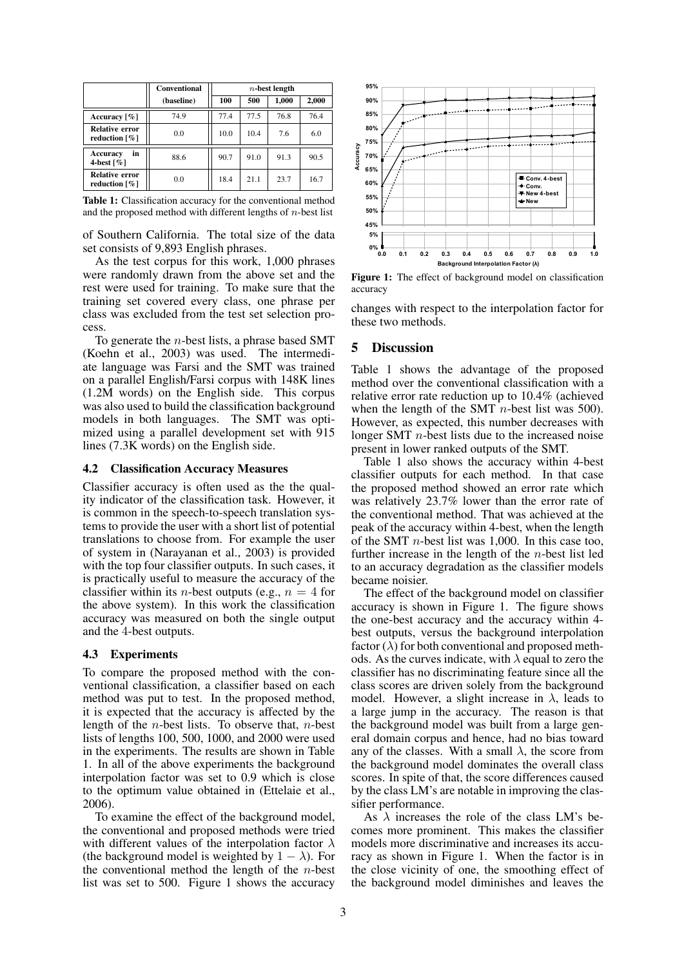|                                                       | <b>Conventional</b> | $n$ -best length |      |       |       |
|-------------------------------------------------------|---------------------|------------------|------|-------|-------|
|                                                       | (baseline)          | 100              | 500  | 1,000 | 2,000 |
| Accuracy $\lceil \% \rceil$                           | 74.9                | 77.4             | 77.5 | 76.8  | 76.4  |
| <b>Relative error</b><br>reduction $\lceil \% \rceil$ | 0.0                 | 10.0             | 10.4 | 7.6   | 6.0   |
| in<br>Accuracy<br>4-best $\lceil \% \rceil$           | 88.6                | 90.7             | 91.0 | 91.3  | 90.5  |
| <b>Relative error</b><br>reduction $\lceil \% \rceil$ | 0.0                 | 18.4             | 21.1 | 23.7  | 16.7  |

Table 1: Classification accuracy for the conventional method and the proposed method with different lengths of  $n$ -best list

of Southern California. The total size of the data set consists of 9,893 English phrases.

As the test corpus for this work, 1,000 phrases were randomly drawn from the above set and the rest were used for training. To make sure that the training set covered every class, one phrase per class was excluded from the test set selection process.

To generate the *n*-best lists, a phrase based SMT (Koehn et al., 2003) was used. The intermediate language was Farsi and the SMT was trained on a parallel English/Farsi corpus with 148K lines (1.2M words) on the English side. This corpus was also used to build the classification background models in both languages. The SMT was optimized using a parallel development set with 915 lines (7.3K words) on the English side.

#### 4.2 Classification Accuracy Measures

Classifier accuracy is often used as the the quality indicator of the classification task. However, it is common in the speech-to-speech translation systems to provide the user with a short list of potential translations to choose from. For example the user of system in (Narayanan et al., 2003) is provided with the top four classifier outputs. In such cases, it is practically useful to measure the accuracy of the classifier within its *n*-best outputs (e.g.,  $n = 4$  for the above system). In this work the classification accuracy was measured on both the single output and the 4-best outputs.

#### 4.3 Experiments

To compare the proposed method with the conventional classification, a classifier based on each method was put to test. In the proposed method, it is expected that the accuracy is affected by the length of the *n*-best lists. To observe that, *n*-best lists of lengths 100, 500, 1000, and 2000 were used in the experiments. The results are shown in Table 1. In all of the above experiments the background interpolation factor was set to 0.9 which is close to the optimum value obtained in (Ettelaie et al., 2006).

To examine the effect of the background model, the conventional and proposed methods were tried with different values of the interpolation factor  $\lambda$ (the background model is weighted by  $1 - \lambda$ ). For the conventional method the length of the  $n$ -best



Figure 1: The effect of background model on classification accuracy

**Accuracy** changes with respect to the interpolation factor for these two methods.

### 5 Discussion

Table 1 shows the advantage of the proposed method over the conventional classification with a relative error rate reduction up to 10.4% (achieved when the length of the SMT *n*-best list was 500). However, as expected, this number decreases with longer SMT  $n$ -best lists due to the increased noise present in lower ranked outputs of the SMT.

Table 1 also shows the accuracy within 4-best classifier outputs for each method. In that case the proposed method showed an error rate which was relatively 23.7% lower than the error rate of the conventional method. That was achieved at the peak of the accuracy within 4-best, when the length of the SMT  $n$ -best list was 1,000. In this case too, further increase in the length of the n-best list led to an accuracy degradation as the classifier models became noisier.

list was set to 500. Figure 1 shows the accuracy **0.0 0.1 0.2 0.3 0.4 0.5 0.6 0.7 0.8 0.9 1.0** The effect of the background model on classifier accuracy is shown in Figure 1. The figure shows the one-best accuracy and the accuracy within 4 best outputs, versus the background interpolation factor  $(\lambda)$  for both conventional and proposed methods. As the curves indicate, with  $\lambda$  equal to zero the classifier has no discriminating feature since all the class scores are driven solely from the background model. However, a slight increase in  $\lambda$ , leads to a large jump in the accuracy. The reason is that the background model was built from a large general domain corpus and hence, had no bias toward any of the classes. With a small  $\lambda$ , the score from the background model dominates the overall class scores. In spite of that, the score differences caused by the class LM's are notable in improving the classifier performance.

As  $\lambda$  increases the role of the class LM's becomes more prominent. This makes the classifier models more discriminative and increases its accuracy as shown in Figure 1. When the factor is in the close vicinity of one, the smoothing effect of the background model diminishes and leaves the